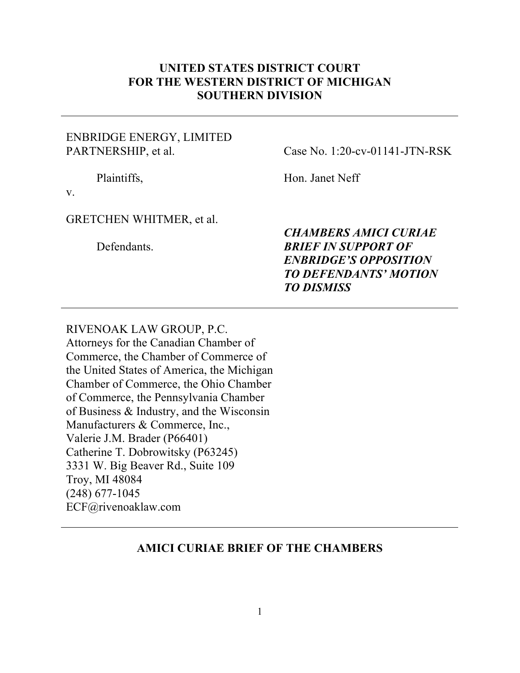### **UNITED STATES DISTRICT COURT FOR THE WESTERN DISTRICT OF MICHIGAN SOUTHERN DIVISION**

### ENBRIDGE ENERGY, LIMITED PARTNERSHIP, et al.

Case No. 1:20-cv-01141-JTN-RSK

Plaintiffs,

Hon. Janet Neff

v.

#### GRETCHEN WHITMER, et al.

Defendants.

*CHAMBERS AMICI CURIAE BRIEF IN SUPPORT OF ENBRIDGE'S OPPOSITION TO DEFENDANTS' MOTION TO DISMISS*

RIVENOAK LAW GROUP, P.C. Attorneys for the Canadian Chamber of Commerce, the Chamber of Commerce of the United States of America, the Michigan Chamber of Commerce, the Ohio Chamber of Commerce, the Pennsylvania Chamber of Business & Industry, and the Wisconsin Manufacturers & Commerce, Inc., Valerie J.M. Brader (P66401) Catherine T. Dobrowitsky (P63245) 3331 W. Big Beaver Rd., Suite 109 Troy, MI 48084 (248) 677-1045 ECF@rivenoaklaw.com

### **AMICI CURIAE BRIEF OF THE CHAMBERS**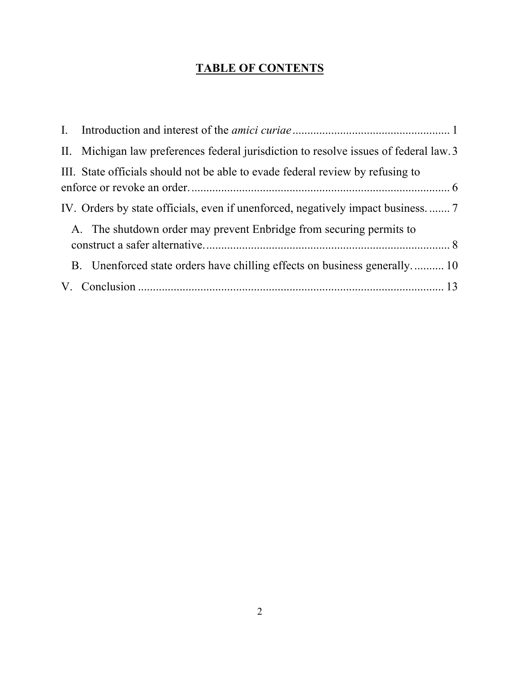## **TABLE OF CONTENTS**

| II. Michigan law preferences federal jurisdiction to resolve issues of federal law. 3 |
|---------------------------------------------------------------------------------------|
| III. State officials should not be able to evade federal review by refusing to        |
| IV. Orders by state officials, even if unenforced, negatively impact business.  7     |
| A. The shutdown order may prevent Enbridge from securing permits to                   |
| B. Unenforced state orders have chilling effects on business generally 10             |
|                                                                                       |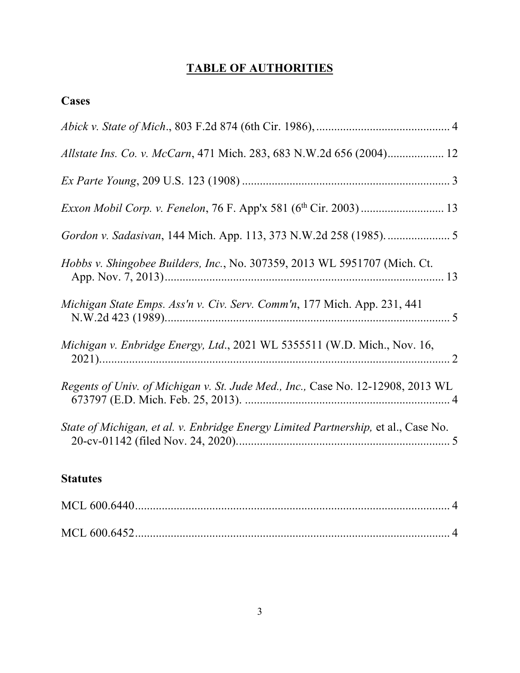## **TABLE OF AUTHORITIES**

| Cases                                                                              |
|------------------------------------------------------------------------------------|
|                                                                                    |
| Allstate Ins. Co. v. McCarn, 471 Mich. 283, 683 N.W.2d 656 (2004) 12               |
|                                                                                    |
|                                                                                    |
|                                                                                    |
| Hobbs v. Shingobee Builders, Inc., No. 307359, 2013 WL 5951707 (Mich. Ct.          |
| Michigan State Emps. Ass'n v. Civ. Serv. Comm'n, 177 Mich. App. 231, 441           |
| Michigan v. Enbridge Energy, Ltd., 2021 WL 5355511 (W.D. Mich., Nov. 16,           |
| Regents of Univ. of Michigan v. St. Jude Med., Inc., Case No. 12-12908, 2013 WL    |
| State of Michigan, et al. v. Enbridge Energy Limited Partnership, et al., Case No. |
| <b>Statutes</b>                                                                    |

#### **Statutes**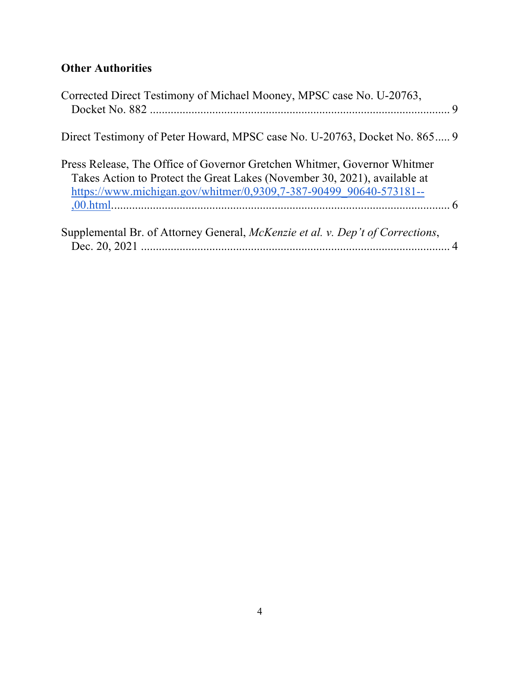## **Other Authorities**

| Corrected Direct Testimony of Michael Mooney, MPSC case No. U-20763,                                                                                                                                                        |  |
|-----------------------------------------------------------------------------------------------------------------------------------------------------------------------------------------------------------------------------|--|
| Direct Testimony of Peter Howard, MPSC case No. U-20763, Docket No. 865 9                                                                                                                                                   |  |
| Press Release, The Office of Governor Gretchen Whitmer, Governor Whitmer<br>Takes Action to Protect the Great Lakes (November 30, 2021), available at<br>https://www.michigan.gov/whitmer/0,9309,7-387-90499 90640-573181-- |  |
| Supplemental Br. of Attorney General, McKenzie et al. v. Dep't of Corrections,                                                                                                                                              |  |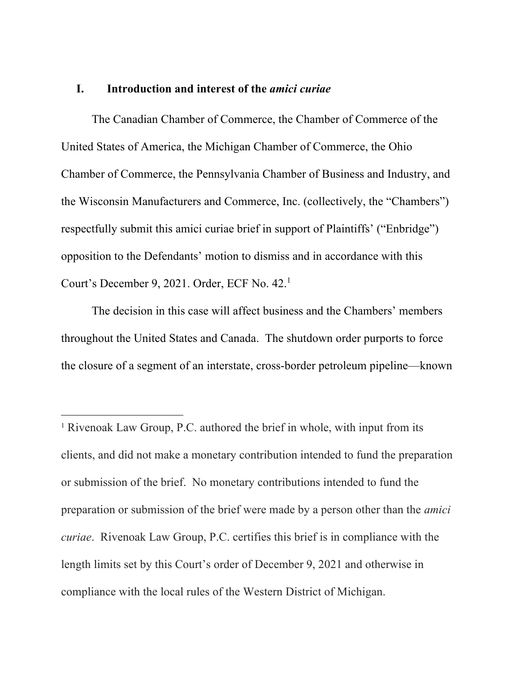#### **I. Introduction and interest of the** *amici curiae*

The Canadian Chamber of Commerce, the Chamber of Commerce of the United States of America, the Michigan Chamber of Commerce, the Ohio Chamber of Commerce, the Pennsylvania Chamber of Business and Industry, and the Wisconsin Manufacturers and Commerce, Inc. (collectively, the "Chambers") respectfully submit this amici curiae brief in support of Plaintiffs' ("Enbridge") opposition to the Defendants' motion to dismiss and in accordance with this Court's December 9, 2021. Order, ECF No. 42. 1

The decision in this case will affect business and the Chambers' members throughout the United States and Canada. The shutdown order purports to force the closure of a segment of an interstate, cross-border petroleum pipeline—known

<sup>&</sup>lt;sup>1</sup> Rivenoak Law Group, P.C. authored the brief in whole, with input from its clients, and did not make a monetary contribution intended to fund the preparation or submission of the brief. No monetary contributions intended to fund the preparation or submission of the brief were made by a person other than the *amici curiae*. Rivenoak Law Group, P.C. certifies this brief is in compliance with the length limits set by this Court's order of December 9, 2021 and otherwise in compliance with the local rules of the Western District of Michigan.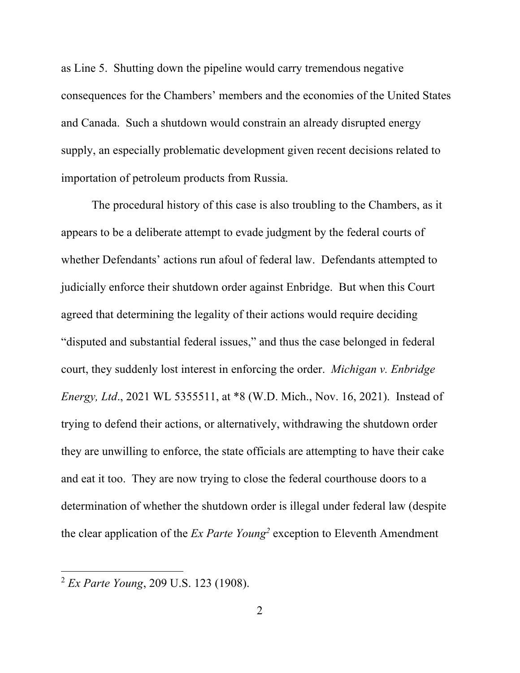as Line 5. Shutting down the pipeline would carry tremendous negative consequences for the Chambers' members and the economies of the United States and Canada. Such a shutdown would constrain an already disrupted energy supply, an especially problematic development given recent decisions related to importation of petroleum products from Russia.

The procedural history of this case is also troubling to the Chambers, as it appears to be a deliberate attempt to evade judgment by the federal courts of whether Defendants' actions run afoul of federal law. Defendants attempted to judicially enforce their shutdown order against Enbridge. But when this Court agreed that determining the legality of their actions would require deciding "disputed and substantial federal issues," and thus the case belonged in federal court, they suddenly lost interest in enforcing the order. *Michigan v. Enbridge Energy, Ltd*., 2021 WL 5355511, at \*8 (W.D. Mich., Nov. 16, 2021). Instead of trying to defend their actions, or alternatively, withdrawing the shutdown order they are unwilling to enforce, the state officials are attempting to have their cake and eat it too. They are now trying to close the federal courthouse doors to a determination of whether the shutdown order is illegal under federal law (despite the clear application of the *Ex Parte Young2* exception to Eleventh Amendment

<sup>2</sup> *Ex Parte Young*, 209 U.S. 123 (1908).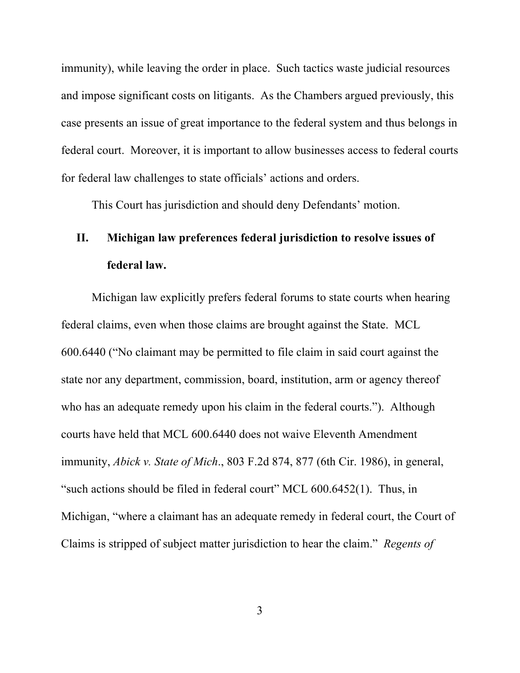immunity), while leaving the order in place. Such tactics waste judicial resources and impose significant costs on litigants. As the Chambers argued previously, this case presents an issue of great importance to the federal system and thus belongs in federal court. Moreover, it is important to allow businesses access to federal courts for federal law challenges to state officials' actions and orders.

This Court has jurisdiction and should deny Defendants' motion.

# **II. Michigan law preferences federal jurisdiction to resolve issues of federal law.**

Michigan law explicitly prefers federal forums to state courts when hearing federal claims, even when those claims are brought against the State. MCL 600.6440 ("No claimant may be permitted to file claim in said court against the state nor any department, commission, board, institution, arm or agency thereof who has an adequate remedy upon his claim in the federal courts."). Although courts have held that MCL 600.6440 does not waive Eleventh Amendment immunity, *Abick v. State of Mich*., 803 F.2d 874, 877 (6th Cir. 1986), in general, "such actions should be filed in federal court" MCL 600.6452(1). Thus, in Michigan, "where a claimant has an adequate remedy in federal court, the Court of Claims is stripped of subject matter jurisdiction to hear the claim." *Regents of*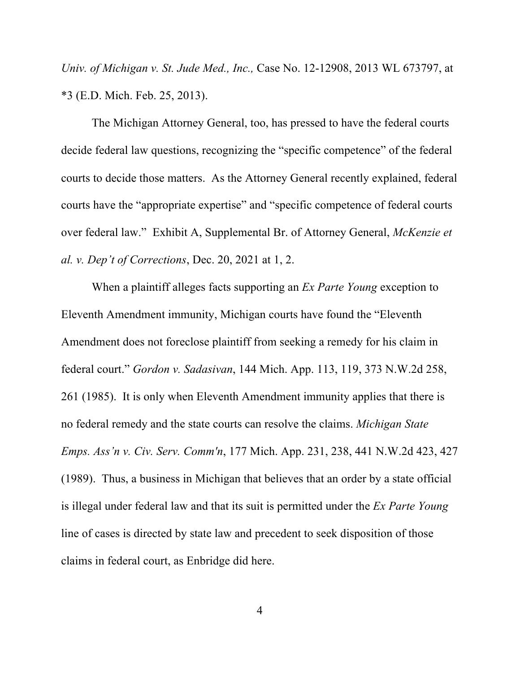*Univ. of Michigan v. St. Jude Med., Inc.,* Case No. 12-12908, 2013 WL 673797, at \*3 (E.D. Mich. Feb. 25, 2013).

The Michigan Attorney General, too, has pressed to have the federal courts decide federal law questions, recognizing the "specific competence" of the federal courts to decide those matters. As the Attorney General recently explained, federal courts have the "appropriate expertise" and "specific competence of federal courts over federal law." Exhibit A, Supplemental Br. of Attorney General, *McKenzie et al. v. Dep't of Corrections*, Dec. 20, 2021 at 1, 2.

When a plaintiff alleges facts supporting an *Ex Parte Young* exception to Eleventh Amendment immunity, Michigan courts have found the "Eleventh Amendment does not foreclose plaintiff from seeking a remedy for his claim in federal court." *Gordon v. Sadasivan*, 144 Mich. App. 113, 119, 373 N.W.2d 258, 261 (1985). It is only when Eleventh Amendment immunity applies that there is no federal remedy and the state courts can resolve the claims. *Michigan State Emps. Ass'n v. Civ. Serv. Comm'n*, 177 Mich. App. 231, 238, 441 N.W.2d 423, 427 (1989). Thus, a business in Michigan that believes that an order by a state official is illegal under federal law and that its suit is permitted under the *Ex Parte Young* line of cases is directed by state law and precedent to seek disposition of those claims in federal court, as Enbridge did here.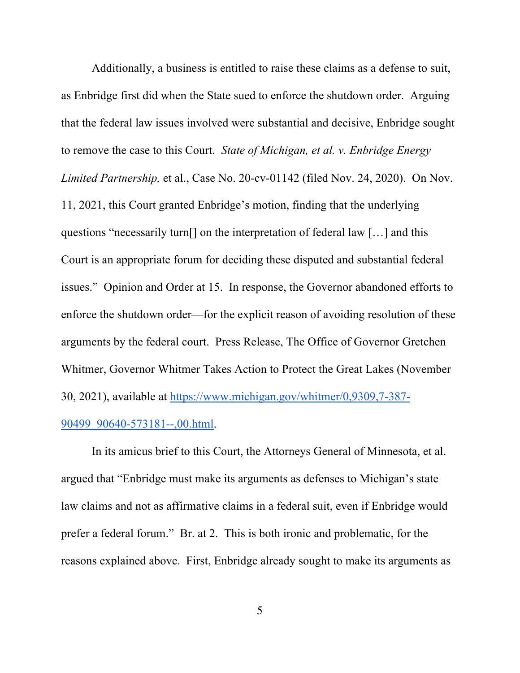Additionally, a business is entitled to raise these claims as a defense to suit, as Enbridge first did when the State sued to enforce the shutdown order. Arguing that the federal law issues involved were substantial and decisive, Enbridge sought to remove the case to this Court. *State of Michigan, et al. v. Enbridge Energy Limited Partnership,* et al., Case No. 20-cv-01142 (filed Nov. 24, 2020). On Nov. 11, 2021, this Court granted Enbridge's motion, finding that the underlying questions "necessarily turn[] on the interpretation of federal law […] and this Court is an appropriate forum for deciding these disputed and substantial federal issues." Opinion and Order at 15. In response, the Governor abandoned efforts to enforce the shutdown order—for the explicit reason of avoiding resolution of these arguments by the federal court. Press Release, The Office of Governor Gretchen Whitmer, Governor Whitmer Takes Action to Protect the Great Lakes (November 30, 2021), available at https://www.michigan.gov/whitmer/0,9309,7-387- 90499 90640-573181--,00.html.

In its amicus brief to this Court, the Attorneys General of Minnesota, et al. argued that "Enbridge must make its arguments as defenses to Michigan's state law claims and not as affirmative claims in a federal suit, even if Enbridge would prefer a federal forum." Br. at 2. This is both ironic and problematic, for the reasons explained above. First, Enbridge already sought to make its arguments as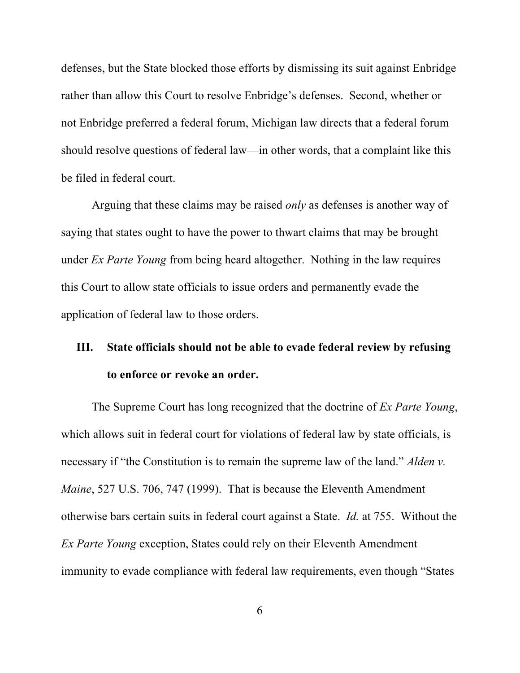defenses, but the State blocked those efforts by dismissing its suit against Enbridge rather than allow this Court to resolve Enbridge's defenses. Second, whether or not Enbridge preferred a federal forum, Michigan law directs that a federal forum should resolve questions of federal law—in other words, that a complaint like this be filed in federal court.

Arguing that these claims may be raised *only* as defenses is another way of saying that states ought to have the power to thwart claims that may be brought under *Ex Parte Young* from being heard altogether. Nothing in the law requires this Court to allow state officials to issue orders and permanently evade the application of federal law to those orders.

# **III. State officials should not be able to evade federal review by refusing to enforce or revoke an order.**

The Supreme Court has long recognized that the doctrine of *Ex Parte Young*, which allows suit in federal court for violations of federal law by state officials, is necessary if "the Constitution is to remain the supreme law of the land." *Alden v. Maine*, 527 U.S. 706, 747 (1999). That is because the Eleventh Amendment otherwise bars certain suits in federal court against a State. *Id.* at 755. Without the *Ex Parte Young* exception, States could rely on their Eleventh Amendment immunity to evade compliance with federal law requirements, even though "States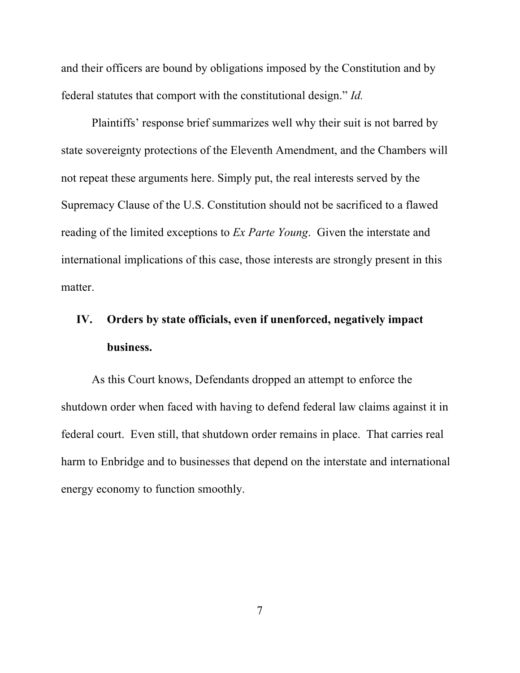and their officers are bound by obligations imposed by the Constitution and by federal statutes that comport with the constitutional design." *Id.*

Plaintiffs' response brief summarizes well why their suit is not barred by state sovereignty protections of the Eleventh Amendment, and the Chambers will not repeat these arguments here. Simply put, the real interests served by the Supremacy Clause of the U.S. Constitution should not be sacrificed to a flawed reading of the limited exceptions to *Ex Parte Young*. Given the interstate and international implications of this case, those interests are strongly present in this matter.

# **IV. Orders by state officials, even if unenforced, negatively impact business.**

As this Court knows, Defendants dropped an attempt to enforce the shutdown order when faced with having to defend federal law claims against it in federal court. Even still, that shutdown order remains in place. That carries real harm to Enbridge and to businesses that depend on the interstate and international energy economy to function smoothly.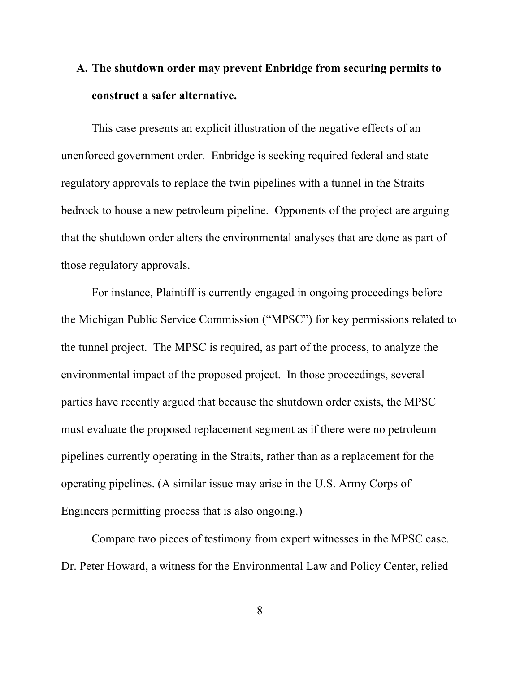# **A. The shutdown order may prevent Enbridge from securing permits to construct a safer alternative.**

This case presents an explicit illustration of the negative effects of an unenforced government order. Enbridge is seeking required federal and state regulatory approvals to replace the twin pipelines with a tunnel in the Straits bedrock to house a new petroleum pipeline. Opponents of the project are arguing that the shutdown order alters the environmental analyses that are done as part of those regulatory approvals.

For instance, Plaintiff is currently engaged in ongoing proceedings before the Michigan Public Service Commission ("MPSC") for key permissions related to the tunnel project. The MPSC is required, as part of the process, to analyze the environmental impact of the proposed project. In those proceedings, several parties have recently argued that because the shutdown order exists, the MPSC must evaluate the proposed replacement segment as if there were no petroleum pipelines currently operating in the Straits, rather than as a replacement for the operating pipelines. (A similar issue may arise in the U.S. Army Corps of Engineers permitting process that is also ongoing.)

Compare two pieces of testimony from expert witnesses in the MPSC case. Dr. Peter Howard, a witness for the Environmental Law and Policy Center, relied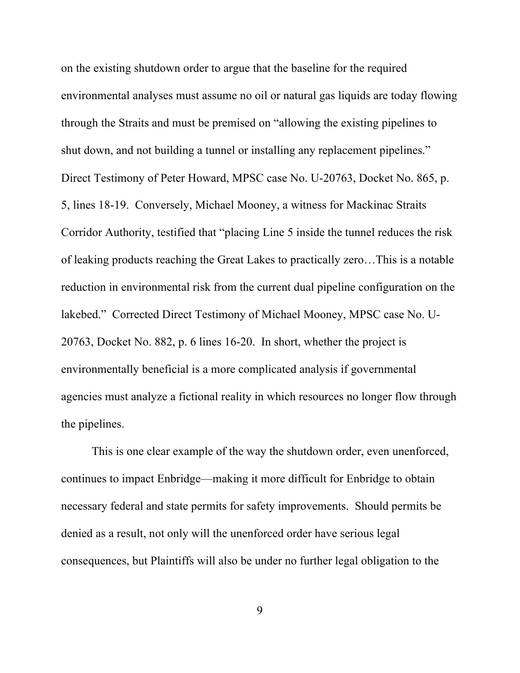on the existing shutdown order to argue that the baseline for the required environmental analyses must assume no oil or natural gas liquids are today flowing through the Straits and must be premised on "allowing the existing pipelines to shut down, and not building a tunnel or installing any replacement pipelines." Direct Testimony of Peter Howard, MPSC case No. U-20763, Docket No. 865, p. 5, lines 18-19. Conversely, Michael Mooney, a witness for Mackinac Straits Corridor Authority, testified that "placing Line 5 inside the tunnel reduces the risk of leaking products reaching the Great Lakes to practically zero…This is a notable reduction in environmental risk from the current dual pipeline configuration on the lakebed." Corrected Direct Testimony of Michael Mooney, MPSC case No. U-20763, Docket No. 882, p. 6 lines 16-20. In short, whether the project is environmentally beneficial is a more complicated analysis if governmental agencies must analyze a fictional reality in which resources no longer flow through the pipelines.

This is one clear example of the way the shutdown order, even unenforced, continues to impact Enbridge—making it more difficult for Enbridge to obtain necessary federal and state permits for safety improvements. Should permits be denied as a result, not only will the unenforced order have serious legal consequences, but Plaintiffs will also be under no further legal obligation to the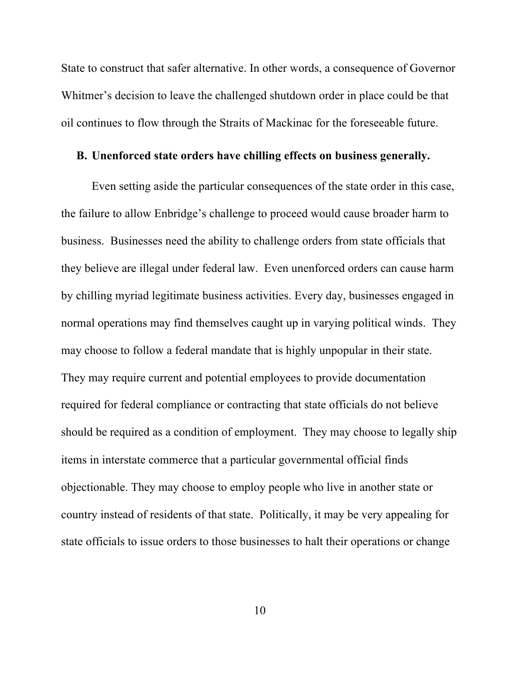State to construct that safer alternative. In other words, a consequence of Governor Whitmer's decision to leave the challenged shutdown order in place could be that oil continues to flow through the Straits of Mackinac for the foreseeable future.

### **B. Unenforced state orders have chilling effects on business generally.**

Even setting aside the particular consequences of the state order in this case, the failure to allow Enbridge's challenge to proceed would cause broader harm to business. Businesses need the ability to challenge orders from state officials that they believe are illegal under federal law. Even unenforced orders can cause harm by chilling myriad legitimate business activities. Every day, businesses engaged in normal operations may find themselves caught up in varying political winds. They may choose to follow a federal mandate that is highly unpopular in their state. They may require current and potential employees to provide documentation required for federal compliance or contracting that state officials do not believe should be required as a condition of employment. They may choose to legally ship items in interstate commerce that a particular governmental official finds objectionable. They may choose to employ people who live in another state or country instead of residents of that state. Politically, it may be very appealing for state officials to issue orders to those businesses to halt their operations or change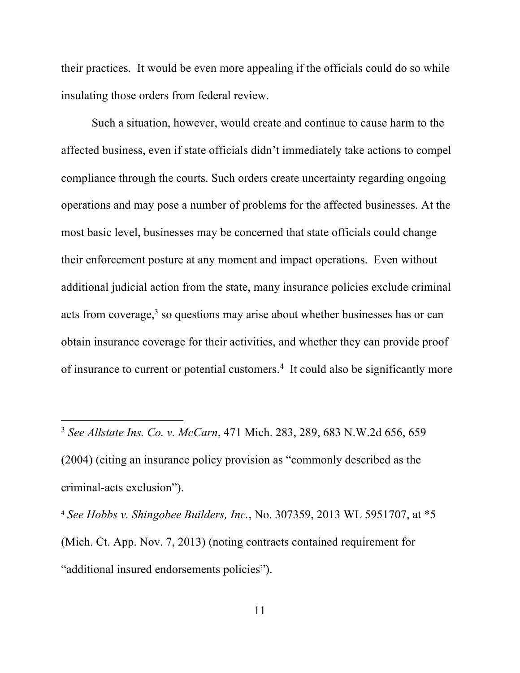their practices. It would be even more appealing if the officials could do so while insulating those orders from federal review.

Such a situation, however, would create and continue to cause harm to the affected business, even if state officials didn't immediately take actions to compel compliance through the courts. Such orders create uncertainty regarding ongoing operations and may pose a number of problems for the affected businesses. At the most basic level, businesses may be concerned that state officials could change their enforcement posture at any moment and impact operations. Even without additional judicial action from the state, many insurance policies exclude criminal acts from coverage, $3$  so questions may arise about whether businesses has or can obtain insurance coverage for their activities, and whether they can provide proof of insurance to current or potential customers.<sup>4</sup> It could also be significantly more

<sup>3</sup> *See Allstate Ins. Co. v. McCarn*, 471 Mich. 283, 289, 683 N.W.2d 656, 659 (2004) (citing an insurance policy provision as "commonly described as the criminal-acts exclusion").

<sup>4</sup> *See Hobbs v. Shingobee Builders, Inc.*, No. 307359, 2013 WL 5951707, at \*5 (Mich. Ct. App. Nov. 7, 2013) (noting contracts contained requirement for "additional insured endorsements policies").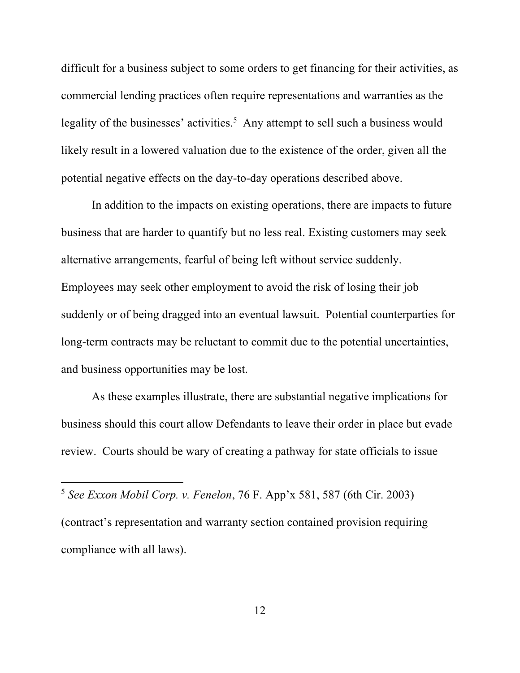difficult for a business subject to some orders to get financing for their activities, as commercial lending practices often require representations and warranties as the legality of the businesses' activities.<sup>5</sup> Any attempt to sell such a business would likely result in a lowered valuation due to the existence of the order, given all the potential negative effects on the day-to-day operations described above.

In addition to the impacts on existing operations, there are impacts to future business that are harder to quantify but no less real. Existing customers may seek alternative arrangements, fearful of being left without service suddenly. Employees may seek other employment to avoid the risk of losing their job suddenly or of being dragged into an eventual lawsuit. Potential counterparties for long-term contracts may be reluctant to commit due to the potential uncertainties, and business opportunities may be lost.

As these examples illustrate, there are substantial negative implications for business should this court allow Defendants to leave their order in place but evade review. Courts should be wary of creating a pathway for state officials to issue

<sup>5</sup> *See Exxon Mobil Corp. v. Fenelon*, 76 F. App'x 581, 587 (6th Cir. 2003) (contract's representation and warranty section contained provision requiring compliance with all laws).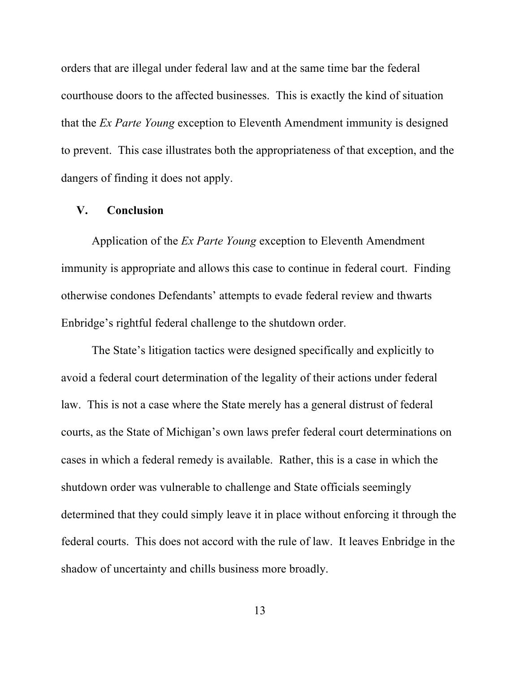orders that are illegal under federal law and at the same time bar the federal courthouse doors to the affected businesses. This is exactly the kind of situation that the *Ex Parte Young* exception to Eleventh Amendment immunity is designed to prevent. This case illustrates both the appropriateness of that exception, and the dangers of finding it does not apply.

#### **V. Conclusion**

Application of the *Ex Parte Young* exception to Eleventh Amendment immunity is appropriate and allows this case to continue in federal court. Finding otherwise condones Defendants' attempts to evade federal review and thwarts Enbridge's rightful federal challenge to the shutdown order.

The State's litigation tactics were designed specifically and explicitly to avoid a federal court determination of the legality of their actions under federal law. This is not a case where the State merely has a general distrust of federal courts, as the State of Michigan's own laws prefer federal court determinations on cases in which a federal remedy is available. Rather, this is a case in which the shutdown order was vulnerable to challenge and State officials seemingly determined that they could simply leave it in place without enforcing it through the federal courts. This does not accord with the rule of law. It leaves Enbridge in the shadow of uncertainty and chills business more broadly.